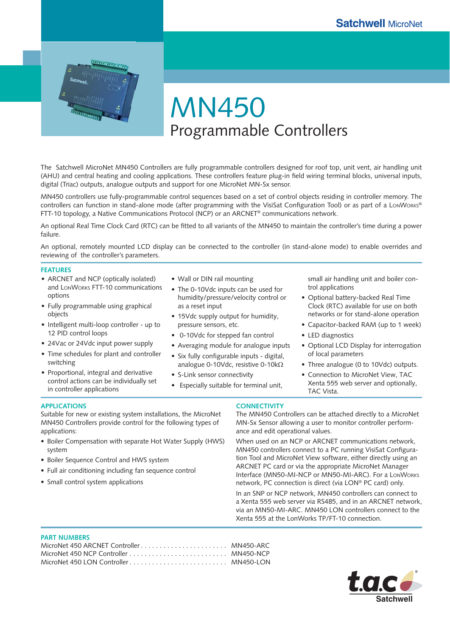

MN450 Programmable Controllers

The Satchwell MicroNet MN450 Controllers are fully programmable controllers designed for roof top, unit vent, air handling unit (AHU) and central heating and cooling applications. These controllers feature plug-in field wiring terminal blocks, universal inputs, digital (Triac) outputs, analogue outputs and support for one MicroNet MN-Sx sensor.

MN450 controllers use fully-programmable control sequences based on a set of control objects residing in controller memory. The controllers can function in stand-alone mode (after programming with the VisiSat Configuration Tool) or as part of a LonWorks® FTT-10 topology, a Native Communications Protocol (NCP) or an ARCNET® communications network.

An optional Real Time Clock Card (RTC) can be fitted to all variants of the MN450 to maintain the controller's time during a power failure.

An optional, remotely mounted LCD display can be connected to the controller (in stand-alone mode) to enable overrides and reviewing of the controller's parameters.

#### **FEATURES**

- ARCNET and NCP (optically isolated) and LONWORKS FTT-10 communications options
- Fully programmable using graphical objects
- Intelligent multi-loop controller up to 12 PID control loops
- 24Vac or 24Vdc input power supply
- Time schedules for plant and controller switching
- Proportional, integral and derivative control actions can be individually set in controller applications

• Boiler Sequence Control and HWS system

• Small control system applications

Full air conditioning including fan sequence control •

Suitable for new or existing system installations, the MicroNet MN450 Controllers provide control for the following types of

• Boiler Compensation with separate Hot Water Supply (HWS)

- Wall or DIN rail mounting
- The 0-10Vdc inputs can be used for humidity/pressure/velocity control or as a reset input
- 15Vdc supply output for humidity, pressure sensors, etc.
- 0-10Vdc for stepped fan control
- Averaging module for analogue inputs •
- Six fully configurable inputs digital, analogue 0-10Vdc, resistive 0-10kΩ
- S-Link sensor connectivity
- Especially suitable for terminal unit,
- 
- 

**APPLICATIONS**

applications:

system

**CONNECTIVITY**

The MN450 Controllers can be attached directly to a MicroNet MN-Sx Sensor allowing a user to monitor controller performance and edit operational values.

TAC Vista.

trol applications

• LED diagnostics

of local parameters

small air handling unit and boiler con-

• Optional LCD Display for interrogation

• Three analogue (0 to 10Vdc) outputs. • Connection to MicroNet View, TAC Xenta 555 web server and optionally,

• Optional battery-backed Real Time Clock (RTC) available for use on both networks or for stand-alone operation Capacitor-backed RAM (up to 1 week) •

When used on an NCP or ARCNET communications network, MN450 controllers connect to a PC running VisiSat Configuration Tool and MicroNet View software, either directly using an ARCNET PC card or via the appropriate MicroNet Manager Interface (MN50-MI-NCP or MN50-MI-ARC). For a LONWORKS network, PC connection is direct (via LON® PC card) only.

In an SNP or NCP network, MN450 controllers can connect to a Xenta 555 web server via RS485, and in an ARCNET network, via an MN50-MI-ARC. MN450 LON controllers connect to the Xenta 555 at the LonWorks TP/FT-10 connection.

#### **PART NUMBERS**

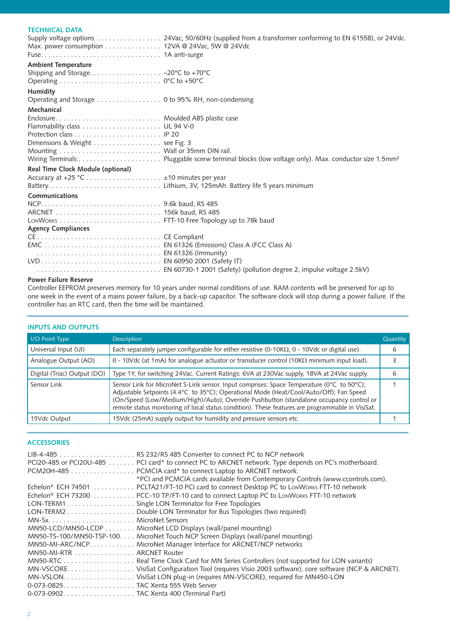# **TECHNICAL DATA**

| Max. power consumption 12VA @ 24Vac, 5W @ 24Vdc | Supply voltage options  24Vac, 50/60Hz (supplied from a transformer conforming to EN 61558), or 24Vdc. |
|-------------------------------------------------|--------------------------------------------------------------------------------------------------------|
| <b>Ambient Temperature</b>                      |                                                                                                        |
|                                                 |                                                                                                        |
|                                                 |                                                                                                        |
| <b>Humidity</b>                                 |                                                                                                        |
|                                                 |                                                                                                        |
| Mechanical                                      |                                                                                                        |
| Enclosure Moulded ABS plastic case              |                                                                                                        |
|                                                 |                                                                                                        |
|                                                 |                                                                                                        |
| Dimensions & Weight  see Fig. 3                 |                                                                                                        |
|                                                 |                                                                                                        |
|                                                 |                                                                                                        |
| Real Time Clock Module (optional)               |                                                                                                        |
|                                                 |                                                                                                        |
|                                                 |                                                                                                        |
| Communications                                  |                                                                                                        |
|                                                 |                                                                                                        |
|                                                 |                                                                                                        |
|                                                 |                                                                                                        |
| <b>Agency Compliances</b>                       |                                                                                                        |
|                                                 |                                                                                                        |
|                                                 |                                                                                                        |
|                                                 |                                                                                                        |
|                                                 |                                                                                                        |
|                                                 |                                                                                                        |

### **Power Failure Reserve**

Controller EEPROM preserves memory for 10 years under normal conditions of use. RAM contents will be preserved for up to one week in the event of a mains power failure, by a back-up capacitor. The software clock will stop during a power failure. If the controller has an RTC card, then the time will be maintained.

## **INPUTS AND OUTPUTS**

| I/O Point Type              | <b>Description</b>                                                                                                                                                                                                                                                                                                                                                                 | Quantity |
|-----------------------------|------------------------------------------------------------------------------------------------------------------------------------------------------------------------------------------------------------------------------------------------------------------------------------------------------------------------------------------------------------------------------------|----------|
| Universal Input (UI)        | Each separately jumper configurable for either resistive (0-10K $\Omega$ , 0 - 10Vdc or digital use).                                                                                                                                                                                                                                                                              | 6        |
| Analogue Output (AO)        | 0 - 10Vdc (at 1mA) for analogue actuator or transducer control (10K $\Omega$ minimum input load).                                                                                                                                                                                                                                                                                  |          |
| Digital (Triac) Output (DO) | Type 1Y, for switching 24Vac. Current Ratings: 6VA at 230Vac supply, 18VA at 24Vac supply.                                                                                                                                                                                                                                                                                         |          |
| Sensor Link                 | Sensor Link for MicroNet S-Link sensor. Input comprises: Space Temperature (0°C to 50°C);<br>Adjustable Setpoints (4.4°C to 35°C); Operational Mode (Heat/Cool/Auto/Off); Fan Speed<br>(On/Speed (Low/Medium/High)/Auto); Override Pushbutton (standalone occupancy control or<br>remote status monitoring of local status condition). These features are programmable in VisiSat. |          |
| 15Vdc Output                | 15Vdc (25mA) supply output for humidity and pressure sensors etc.                                                                                                                                                                                                                                                                                                                  |          |

## **ACCESSORIES**

|                           | PCI20-485 or PCI20U-485 PCI card* to connect PC to ARCNET network. Type depends on PC's motherboard.<br>PCM20H-485 PCMCIA card* to connect Laptop to ARCNET network.          |
|---------------------------|-------------------------------------------------------------------------------------------------------------------------------------------------------------------------------|
|                           | *PCI and PCMCIA cards available from Contemporary Controls (www.ccontrols.com).<br>Echelon® ECH 74501 PCLTA21/FT-10 PCI card to connect Desktop PC to LONWORKS FTT-10 network |
|                           | Echelon® ECH 73200 PCC-10 TP/FT-10 card to connect Laptop PC to LonWorks FTT-10 network                                                                                       |
|                           | LON-TERM1 Single LON Terminator for Free Topologies                                                                                                                           |
|                           | LON-TERM2 Double LON Terminator for Bus Topologies (two required)                                                                                                             |
|                           |                                                                                                                                                                               |
|                           | MN50-LCD/MN50-LCDP MicroNet LCD Displays (wall/panel mounting)                                                                                                                |
|                           | MN50-TS-100/MN50-TSP-100. MicroNet Touch NCP Screen Displays (wall/panel mounting)                                                                                            |
|                           | MN50-MI-ARC/NCP. MicroNet Manager Interface for ARCNET/NCP networks                                                                                                           |
| MN50-MI-RTR ARCNET Router |                                                                                                                                                                               |
|                           |                                                                                                                                                                               |
|                           |                                                                                                                                                                               |
|                           |                                                                                                                                                                               |
|                           |                                                                                                                                                                               |
|                           |                                                                                                                                                                               |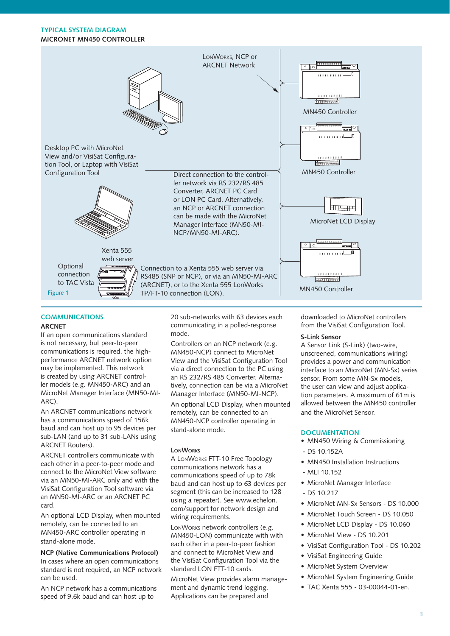# **TYPICAL SYSTEM DIAGRAM MICRONET MN450 CONTROLLER**



# **COMMUNICATIONS**

#### **ARCNET**

If an open communications standard is not necessary, but peer-to-peer communications is required, the highperformance ARCNET network option may be implemented. This network is created by using ARCNET controller models (e.g. MN450-ARC) and an MicroNet Manager Interface (MN50-MI-ARC).

An ARCNET communications network has a communications speed of 156k baud and can host up to 95 devices per sub-LAN (and up to 31 sub-LANs using ARCNET Routers).

ARCNET controllers communicate with each other in a peer-to-peer mode and connect to the MicroNet View software via an MN50-MI-ARC only and with the VisiSat Configuration Tool software via an MN50-MI-ARC or an ARCNET PC card.

An optional LCD Display, when mounted remotely, can be connected to an MN450-ARC controller operating in stand-alone mode.

# **NCP (Native Communications Protocol)**

In cases where an open communications standard is not required, an NCP network can be used.

An NCP network has a communications speed of 9.6k baud and can host up to

20 sub-networks with 63 devices each communicating in a polled-response mode.

Controllers on an NCP network (e.g. MN450-NCP) connect to MicroNet View and the VisiSat Configuration Tool via a direct connection to the PC using an RS 232/RS 485 Converter. Alternatively, connection can be via a MicroNet Manager Interface (MN50-MI-NCP).

An optional LCD Display, when mounted remotely, can be connected to an MN450-NCP controller operating in stand-alone mode.

## **LONWORKS**

A LONWORKS FTT-10 Free Topology communications network has a communications speed of up to 78k baud and can host up to 63 devices per segment (this can be increased to 128 using a repeater). See www.echelon. com/support for network design and wiring requirements.

LONWORKS network controllers (e.g. MN450-LON) communicate with with each other in a peer-to-peer fashion and connect to MicroNet View and the VisiSat Configuration Tool via the standard LON FTT-10 cards.

MicroNet View provides alarm management and dynamic trend logging. Applications can be prepared and

downloaded to MicroNet controllers from the VisiSat Configuration Tool.

### **S-Link Sensor**

A Sensor Link (S-Link) (two-wire, unscreened, communications wiring) provides a power and communication interface to an MicroNet (MN-Sx) series sensor. From some MN-Sx models, the user can view and adjust application parameters. A maximum of 61m is allowed between the MN450 controller and the MicroNet Sensor.

#### **DOCUMENTATION**

- MN450 Wiring & Commissioning - DS 10.152A
- MN450 Installation Instructions
- MLI 10.152
- MicroNet Manager Interface
- $-$  DS 10.217
- MicroNet MN-Sx Sensors DS 10.000
	- MicroNet Touch Screen DS 10.050
	- MicroNet LCD Display DS 10.060
	- MicroNet View DS 10.201
	- VisiSat Configuration Tool DS 10.202
	- VisiSat Engineering Guide
	- MicroNet System Overview
	- MicroNet System Engineering Guide
	- TAC Xenta 555 03-00044-01-en. •